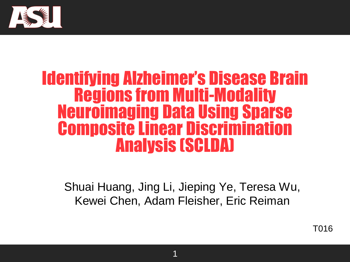

# Identifying Alzheimer's Disease Brain Regions from Multi-Modality Neuroimaging Data Using Sparse Composite Linear Discrimination Analysis (SCLDA)

Shuai Huang, Jing Li, Jieping Ye, Teresa Wu, Kewei Chen, Adam Fleisher, Eric Reiman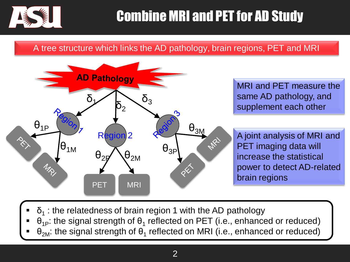

# Combine MRI and PET for AD Study

#### A tree structure which links the AD pathology, brain regions, PET and MRI



MRI and PET measure the same AD pathology, and supplement each other

A joint analysis of MRI and PET imaging data will increase the statistical power to detect AD-related brain regions

- $\bullet$   $\delta_1$ : the relatedness of brain region 1 with the AD pathology
- **-**  $\theta_{1P}$ : the signal strength of  $\theta_1$  reflected on PET (i.e., enhanced or reduced)
- $\bullet$  θ<sub>2M</sub>: the signal strength of  $\theta_1$  reflected on MRI (i.e., enhanced or reduced)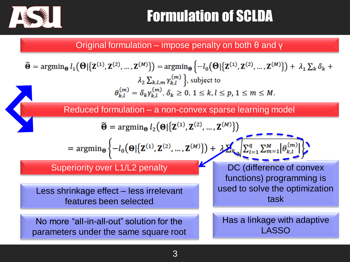

# Formulation of SCLDA

Original formulation – impose penalty on both θ and γ